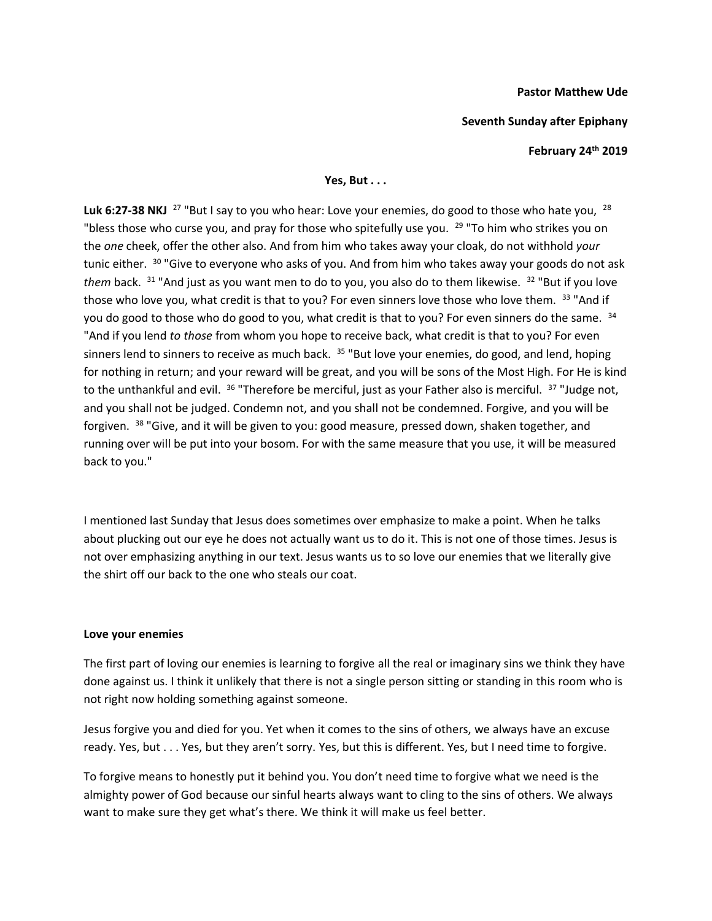### **Pastor Matthew Ude**

### **Seventh Sunday after Epiphany**

**February 24th 2019**

# **Yes, But . . .**

Luk 6:27-38 NKJ <sup>27</sup> "But I say to you who hear: Love your enemies, do good to those who hate you, <sup>28</sup> "bless those who curse you, and pray for those who spitefully use you. <sup>29</sup> "To him who strikes you on the *one* cheek, offer the other also. And from him who takes away your cloak, do not withhold *your*  tunic either. <sup>30</sup> "Give to everyone who asks of you. And from him who takes away your goods do not ask *them* back. <sup>31</sup> "And just as you want men to do to you, you also do to them likewise. <sup>32</sup> "But if you love those who love you, what credit is that to you? For even sinners love those who love them. 33 "And if you do good to those who do good to you, what credit is that to you? For even sinners do the same. <sup>34</sup> "And if you lend *to those* from whom you hope to receive back, what credit is that to you? For even sinners lend to sinners to receive as much back.  $35$  "But love your enemies, do good, and lend, hoping for nothing in return; and your reward will be great, and you will be sons of the Most High. For He is kind to the unthankful and evil. <sup>36</sup> "Therefore be merciful, just as your Father also is merciful. <sup>37</sup> "Judge not, and you shall not be judged. Condemn not, and you shall not be condemned. Forgive, and you will be forgiven. <sup>38</sup> "Give, and it will be given to you: good measure, pressed down, shaken together, and running over will be put into your bosom. For with the same measure that you use, it will be measured back to you."

I mentioned last Sunday that Jesus does sometimes over emphasize to make a point. When he talks about plucking out our eye he does not actually want us to do it. This is not one of those times. Jesus is not over emphasizing anything in our text. Jesus wants us to so love our enemies that we literally give the shirt off our back to the one who steals our coat.

## **Love your enemies**

The first part of loving our enemies is learning to forgive all the real or imaginary sins we think they have done against us. I think it unlikely that there is not a single person sitting or standing in this room who is not right now holding something against someone.

Jesus forgive you and died for you. Yet when it comes to the sins of others, we always have an excuse ready. Yes, but . . . Yes, but they aren't sorry. Yes, but this is different. Yes, but I need time to forgive.

To forgive means to honestly put it behind you. You don't need time to forgive what we need is the almighty power of God because our sinful hearts always want to cling to the sins of others. We always want to make sure they get what's there. We think it will make us feel better.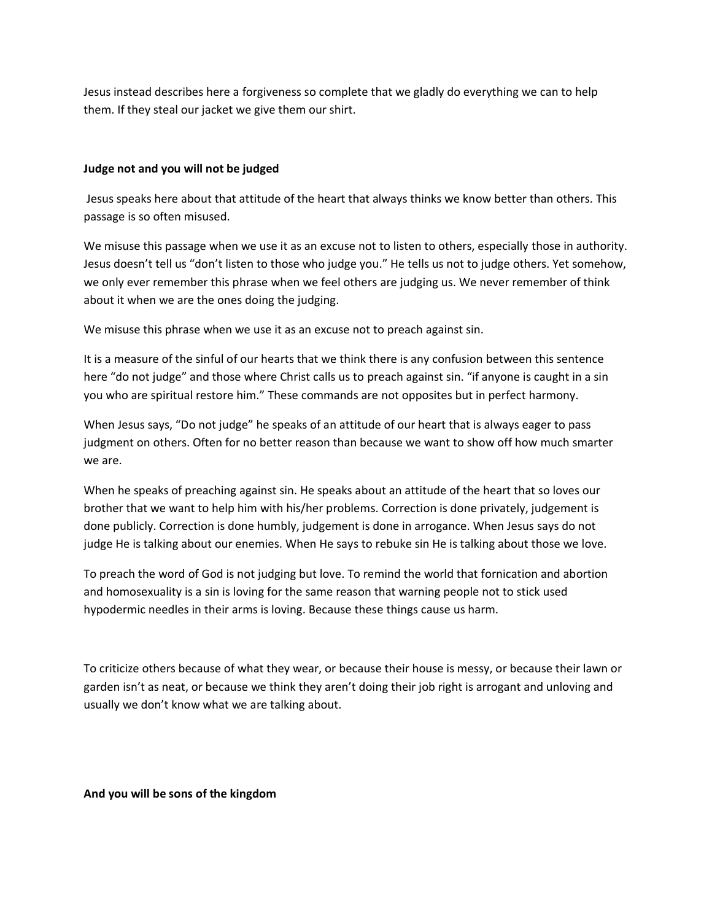Jesus instead describes here a forgiveness so complete that we gladly do everything we can to help them. If they steal our jacket we give them our shirt.

## **Judge not and you will not be judged**

Jesus speaks here about that attitude of the heart that always thinks we know better than others. This passage is so often misused.

We misuse this passage when we use it as an excuse not to listen to others, especially those in authority. Jesus doesn't tell us "don't listen to those who judge you." He tells us not to judge others. Yet somehow, we only ever remember this phrase when we feel others are judging us. We never remember of think about it when we are the ones doing the judging.

We misuse this phrase when we use it as an excuse not to preach against sin.

It is a measure of the sinful of our hearts that we think there is any confusion between this sentence here "do not judge" and those where Christ calls us to preach against sin. "if anyone is caught in a sin you who are spiritual restore him." These commands are not opposites but in perfect harmony.

When Jesus says, "Do not judge" he speaks of an attitude of our heart that is always eager to pass judgment on others. Often for no better reason than because we want to show off how much smarter we are.

When he speaks of preaching against sin. He speaks about an attitude of the heart that so loves our brother that we want to help him with his/her problems. Correction is done privately, judgement is done publicly. Correction is done humbly, judgement is done in arrogance. When Jesus says do not judge He is talking about our enemies. When He says to rebuke sin He is talking about those we love.

To preach the word of God is not judging but love. To remind the world that fornication and abortion and homosexuality is a sin is loving for the same reason that warning people not to stick used hypodermic needles in their arms is loving. Because these things cause us harm.

To criticize others because of what they wear, or because their house is messy, or because their lawn or garden isn't as neat, or because we think they aren't doing their job right is arrogant and unloving and usually we don't know what we are talking about.

**And you will be sons of the kingdom**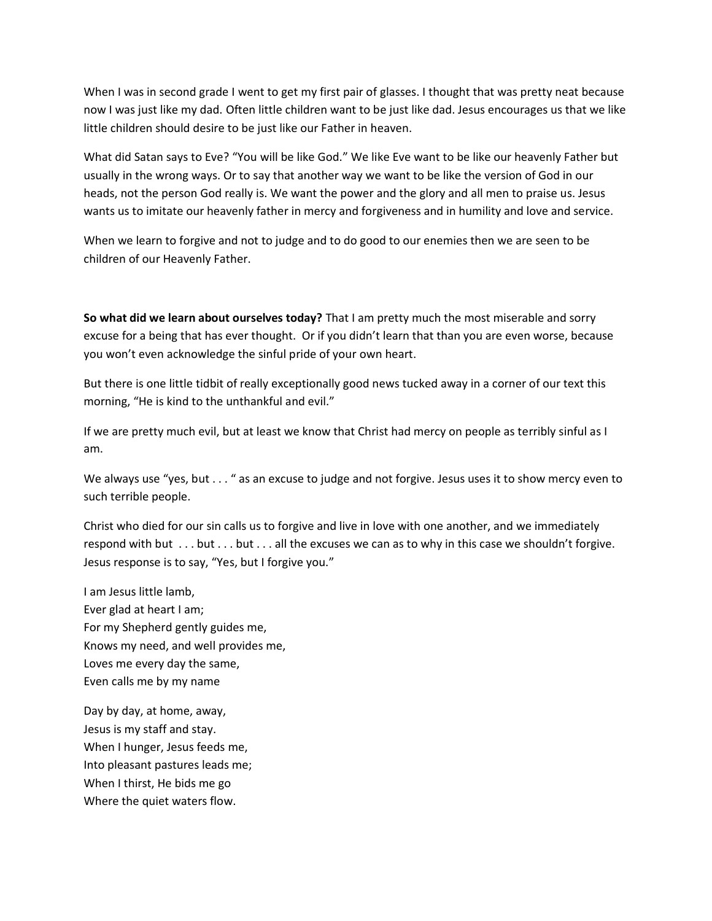When I was in second grade I went to get my first pair of glasses. I thought that was pretty neat because now I was just like my dad. Often little children want to be just like dad. Jesus encourages us that we like little children should desire to be just like our Father in heaven.

What did Satan says to Eve? "You will be like God." We like Eve want to be like our heavenly Father but usually in the wrong ways. Or to say that another way we want to be like the version of God in our heads, not the person God really is. We want the power and the glory and all men to praise us. Jesus wants us to imitate our heavenly father in mercy and forgiveness and in humility and love and service.

When we learn to forgive and not to judge and to do good to our enemies then we are seen to be children of our Heavenly Father.

**So what did we learn about ourselves today?** That I am pretty much the most miserable and sorry excuse for a being that has ever thought. Or if you didn't learn that than you are even worse, because you won't even acknowledge the sinful pride of your own heart.

But there is one little tidbit of really exceptionally good news tucked away in a corner of our text this morning, "He is kind to the unthankful and evil."

If we are pretty much evil, but at least we know that Christ had mercy on people as terribly sinful as I am.

We always use "yes, but . . . " as an excuse to judge and not forgive. Jesus uses it to show mercy even to such terrible people.

Christ who died for our sin calls us to forgive and live in love with one another, and we immediately respond with but . . . but . . . but . . . all the excuses we can as to why in this case we shouldn't forgive. Jesus response is to say, "Yes, but I forgive you."

I am Jesus little lamb, Ever glad at heart I am; For my Shepherd gently guides me, Knows my need, and well provides me, Loves me every day the same, Even calls me by my name

Day by day, at home, away, Jesus is my staff and stay. When I hunger, Jesus feeds me, Into pleasant pastures leads me; When I thirst, He bids me go Where the quiet waters flow.